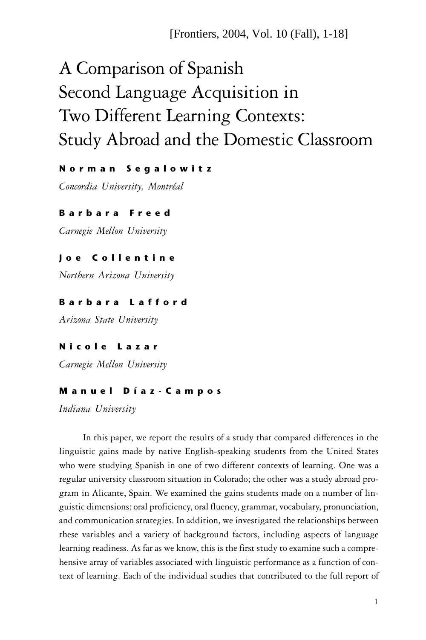# A Comparison of Spanish Second Language Acquisition in Two Different Learning Contexts: Study Abroad and the Domestic Classroom

# N o r m a n S e g a l o w i t z

*Concordia University, Montréal*

# B a r b a r a F r e e d

*Carnegie Mellon University*

# Joe Collentine

*Northern Arizona University*

# Barbara Lafford

*Arizona State University*

# Nicole Lazar

*Carnegie Mellon University*

# M a n u e l D í a z - C a m p o s

*Indiana University*

In this paper, we report the results of a study that compared differences in the linguistic gains made by native English-speaking students from the United States who were studying Spanish in one of two different contexts of learning. One was a regular university classroom situation in Colorado; the other was a study abroad program in Alicante, Spain. We examined the gains students made on a number of linguistic dimensions: oral proficiency, oral fluency, grammar, vocabulary, pronunciation, and communication strategies. In addition, we investigated the relationships between these variables and a variety of background factors, including aspects of language learning readiness. As far as we know, this is the first study to examine such a comprehensive array of variables associated with linguistic performance as a function of context of learning. Each of the individual studies that contributed to the full report of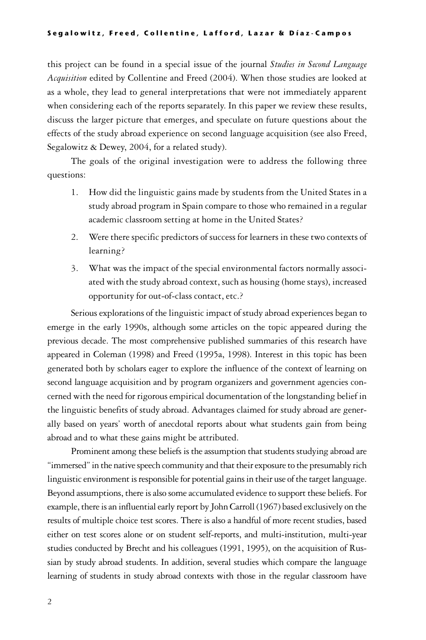#### Segalowitz, Freed, Collentine, Lafford, Lazar & Díaz-Campos

this project can be found in a special issue of the journal *Studies in Second Language Acquisition* edited by Collentine and Freed (2004). When those studies are looked at as a whole, they lead to general interpretations that were not immediately apparent when considering each of the reports separately. In this paper we review these results, discuss the larger picture that emerges, and speculate on future questions about the effects of the study abroad experience on second language acquisition (see also Freed, Segalowitz & Dewey, 2004, for a related study).

The goals of the original investigation were to address the following three questions:

- 1. How did the linguistic gains made by students from the United States in a study abroad program in Spain compare to those who remained in a regular academic classroom setting at home in the United States?
- 2. Were there specific predictors of success for learners in these two contexts of learning?
- 3. What was the impact of the special environmental factors normally associated with the study abroad context, such as housing (home stays), increased opportunity for out-of-class contact, etc.?

Serious explorations of the linguistic impact of study abroad experiences began to emerge in the early 1990s, although some articles on the topic appeared during the previous decade. The most comprehensive published summaries of this research have appeared in Coleman (1998) and Freed (1995a, 1998). Interest in this topic has been generated both by scholars eager to explore the influence of the context of learning on second language acquisition and by program organizers and government agencies concerned with the need for rigorous empirical documentation of the longstanding belief in the linguistic benefits of study abroad. Advantages claimed for study abroad are generally based on years' worth of anecdotal reports about what students gain from being abroad and to what these gains might be attributed.

Prominent among these beliefs is the assumption that students studying abroad are "immersed" in the native speech community and that their exposure to the presumably rich linguistic environment is responsible for potential gains in their use of the target language. Beyond assumptions, there is also some accumulated evidence to support these beliefs. For example, there is an influential early report by John Carroll (1967) based exclusively on the results of multiple choice test scores. There is also a handful of more recent studies, based either on test scores alone or on student self-reports, and multi-institution, multi-year studies conducted by Brecht and his colleagues (1991, 1995), on the acquisition of Russian by study abroad students. In addition, several studies which compare the language learning of students in study abroad contexts with those in the regular classroom have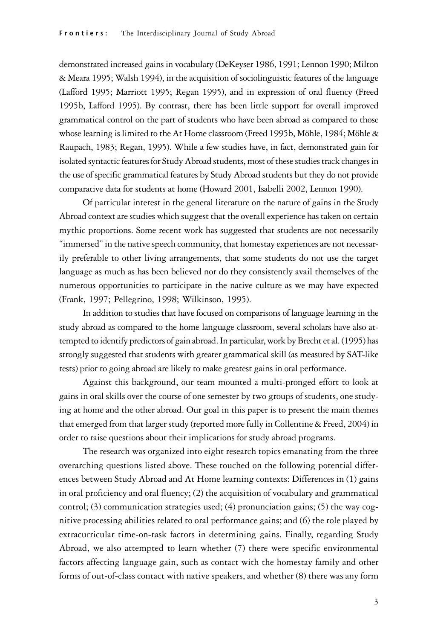demonstrated increased gains in vocabulary (DeKeyser 1986, 1991; Lennon 1990; Milton & Meara 1995; Walsh 1994), in the acquisition of sociolinguistic features of the language (Lafford 1995; Marriott 1995; Regan 1995), and in expression of oral fluency (Freed 1995b, Lafford 1995). By contrast, there has been little support for overall improved grammatical control on the part of students who have been abroad as compared to those whose learning is limited to the At Home classroom (Freed 1995b, Möhle, 1984; Möhle & Raupach, 1983; Regan, 1995). While a few studies have, in fact, demonstrated gain for isolated syntactic features for Study Abroad students, most of these studies track changes in the use of specific grammatical features by Study Abroad students but they do not provide comparative data for students at home (Howard 2001, Isabelli 2002, Lennon 1990).

Of particular interest in the general literature on the nature of gains in the Study Abroad context are studies which suggest that the overall experience has taken on certain mythic proportions. Some recent work has suggested that students are not necessarily "immersed" in the native speech community, that homestay experiences are not necessarily preferable to other living arrangements, that some students do not use the target language as much as has been believed nor do they consistently avail themselves of the numerous opportunities to participate in the native culture as we may have expected (Frank, 1997; Pellegrino, 1998; Wilkinson, 1995).

In addition to studies that have focused on comparisons of language learning in the study abroad as compared to the home language classroom, several scholars have also attempted to identify predictors of gain abroad. In particular, work by Brecht et al. (1995) has strongly suggested that students with greater grammatical skill (as measured by SAT-like tests) prior to going abroad are likely to make greatest gains in oral performance.

Against this background, our team mounted a multi-pronged effort to look at gains in oral skills over the course of one semester by two groups of students, one studying at home and the other abroad. Our goal in this paper is to present the main themes that emerged from that larger study (reported more fully in Collentine & Freed, 2004) in order to raise questions about their implications for study abroad programs.

The research was organized into eight research topics emanating from the three overarching questions listed above. These touched on the following potential differences between Study Abroad and At Home learning contexts: Differences in (1) gains in oral proficiency and oral fluency; (2) the acquisition of vocabulary and grammatical control; (3) communication strategies used; (4) pronunciation gains; (5) the way cognitive processing abilities related to oral performance gains; and (6) the role played by extracurricular time-on-task factors in determining gains. Finally, regarding Study Abroad, we also attempted to learn whether (7) there were specific environmental factors affecting language gain, such as contact with the homestay family and other forms of out-of-class contact with native speakers, and whether (8) there was any form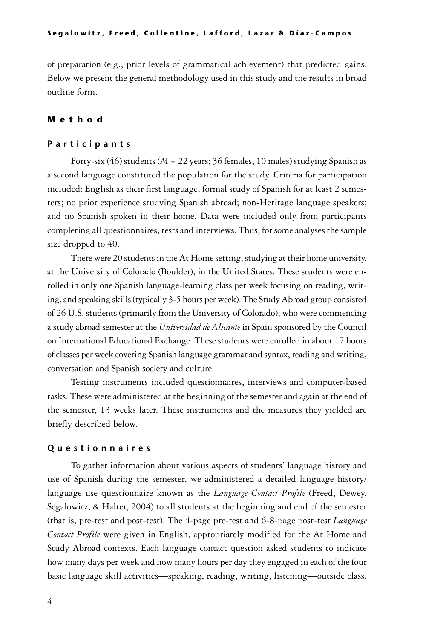of preparation (e.g., prior levels of grammatical achievement) that predicted gains. Below we present the general methodology used in this study and the results in broad outline form.

# M e t h o d

#### **Participants**

Forty-six (46) students (*M* = 22 years; 36 females, 10 males) studying Spanish as a second language constituted the population for the study. Criteria for participation included: English as their first language; formal study of Spanish for at least 2 semesters; no prior experience studying Spanish abroad; non-Heritage language speakers; and no Spanish spoken in their home. Data were included only from participants completing all questionnaires, tests and interviews. Thus, for some analyses the sample size dropped to 40.

There were 20 students in the At Home setting, studying at their home university, at the University of Colorado (Boulder), in the United States. These students were enrolled in only one Spanish language-learning class per week focusing on reading, writing, and speaking skills (typically 3-5 hours per week). The Study Abroad group consisted of 26 U.S. students (primarily from the University of Colorado), who were commencing a study abroad semester at the *Universidad de Alicante* in Spain sponsored by the Council on International Educational Exchange. These students were enrolled in about 17 hours of classes per week covering Spanish language grammar and syntax, reading and writing, conversation and Spanish society and culture.

Testing instruments included questionnaires, interviews and computer-based tasks. These were administered at the beginning of the semester and again at the end of the semester, 13 weeks later. These instruments and the measures they yielded are briefly described below.

### Questionnaires

To gather information about various aspects of students' language history and use of Spanish during the semester, we administered a detailed language history/ language use questionnaire known as the *Language Contact Profile* (Freed, Dewey, Segalowitz, & Halter, 2004) to all students at the beginning and end of the semester (that is, pre-test and post-test). The 4-page pre-test and 6-8-page post-test *Language Contact Profile* were given in English, appropriately modified for the At Home and Study Abroad contexts. Each language contact question asked students to indicate how many days per week and how many hours per day they engaged in each of the four basic language skill activities—speaking, reading, writing, listening—outside class.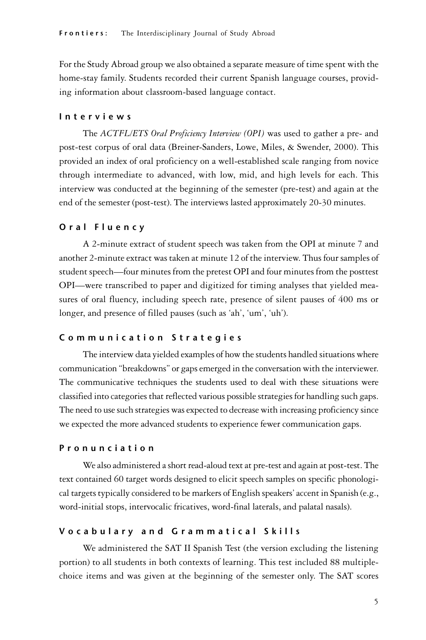For the Study Abroad group we also obtained a separate measure of time spent with the home-stay family. Students recorded their current Spanish language courses, providing information about classroom-based language contact.

## I n t e r v i e w s

The *ACTFL/ETS Oral Proficiency Interview (OPI)* was used to gather a pre- and post-test corpus of oral data (Breiner-Sanders, Lowe, Miles, & Swender, 2000). This provided an index of oral proficiency on a well-established scale ranging from novice through intermediate to advanced, with low, mid, and high levels for each. This interview was conducted at the beginning of the semester (pre-test) and again at the end of the semester (post-test). The interviews lasted approximately 20-30 minutes.

### Oral Fluency

A 2-minute extract of student speech was taken from the OPI at minute 7 and another 2-minute extract was taken at minute 12 of the interview. Thus four samples of student speech—four minutes from the pretest OPI and four minutes from the posttest OPI—were transcribed to paper and digitized for timing analyses that yielded measures of oral fluency, including speech rate, presence of silent pauses of 400 ms or longer, and presence of filled pauses (such as 'ah', 'um', 'uh').

# Communication Strategies

The interview data yielded examples of how the students handled situations where communication "breakdowns" or gaps emerged in the conversation with the interviewer. The communicative techniques the students used to deal with these situations were classified into categories that reflected various possible strategies for handling such gaps. The need to use such strategies was expected to decrease with increasing proficiency since we expected the more advanced students to experience fewer communication gaps.

## P r o n u n c i a t i o n

We also administered a short read-aloud text at pre-test and again at post-test. The text contained 60 target words designed to elicit speech samples on specific phonological targets typically considered to be markers of English speakers' accent in Spanish (e.g., word-initial stops, intervocalic fricatives, word-final laterals, and palatal nasals).

## Vocabulary and Grammatical Skills

We administered the SAT II Spanish Test (the version excluding the listening portion) to all students in both contexts of learning. This test included 88 multiplechoice items and was given at the beginning of the semester only. The SAT scores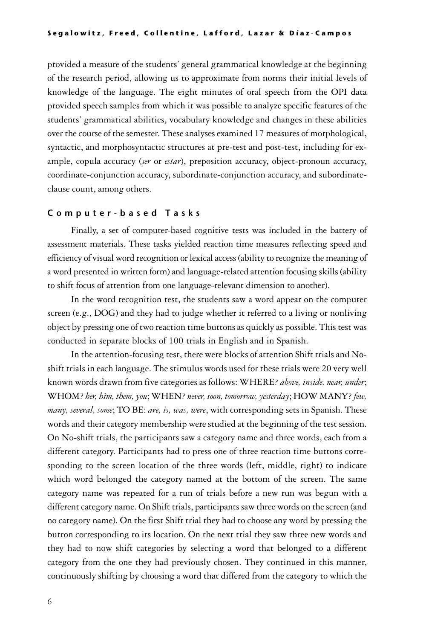#### Segalowitz, Freed, Collentine, Lafford, Lazar & Díaz-Campos

provided a measure of the students' general grammatical knowledge at the beginning of the research period, allowing us to approximate from norms their initial levels of knowledge of the language. The eight minutes of oral speech from the OPI data provided speech samples from which it was possible to analyze specific features of the students' grammatical abilities, vocabulary knowledge and changes in these abilities over the course of the semester. These analyses examined 17 measures of morphological, syntactic, and morphosyntactic structures at pre-test and post-test, including for example, copula accuracy (*ser* or *estar*), preposition accuracy, object-pronoun accuracy, coordinate-conjunction accuracy, subordinate-conjunction accuracy, and subordinateclause count, among others.

# C o m p u t e r - b a s e d T a s k s

Finally, a set of computer-based cognitive tests was included in the battery of assessment materials. These tasks yielded reaction time measures reflecting speed and efficiency of visual word recognition or lexical access (ability to recognize the meaning of a word presented in written form) and language-related attention focusing skills (ability to shift focus of attention from one language-relevant dimension to another).

In the word recognition test, the students saw a word appear on the computer screen (e.g., DOG) and they had to judge whether it referred to a living or nonliving object by pressing one of two reaction time buttons as quickly as possible. This test was conducted in separate blocks of 100 trials in English and in Spanish.

In the attention-focusing test, there were blocks of attention Shift trials and Noshift trials in each language. The stimulus words used for these trials were 20 very well known words drawn from five categories as follows: WHERE? *above, inside, near, under*; WHOM? *her, him, them, you*; WHEN? *never, soon, tomorrow, yesterday*; HOW MANY? *few, many, several, some*; TO BE: *are, is, was, were*, with corresponding sets in Spanish. These words and their category membership were studied at the beginning of the test session. On No-shift trials, the participants saw a category name and three words, each from a different category. Participants had to press one of three reaction time buttons corresponding to the screen location of the three words (left, middle, right) to indicate which word belonged the category named at the bottom of the screen. The same category name was repeated for a run of trials before a new run was begun with a different category name. On Shift trials, participants saw three words on the screen (and no category name). On the first Shift trial they had to choose any word by pressing the button corresponding to its location. On the next trial they saw three new words and they had to now shift categories by selecting a word that belonged to a different category from the one they had previously chosen. They continued in this manner, continuously shifting by choosing a word that differed from the category to which the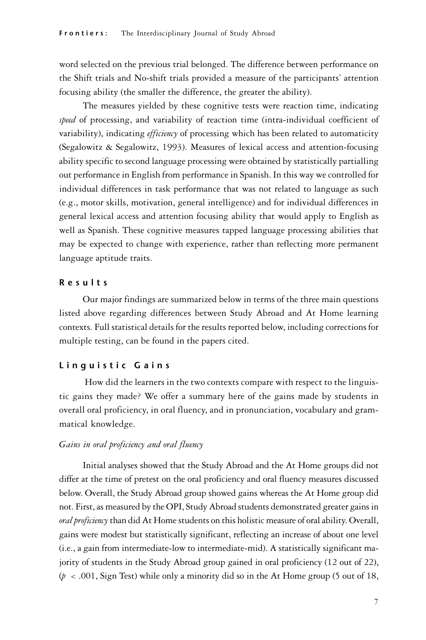word selected on the previous trial belonged. The difference between performance on the Shift trials and No-shift trials provided a measure of the participants' attention focusing ability (the smaller the difference, the greater the ability).

The measures yielded by these cognitive tests were reaction time, indicating *speed* of processing, and variability of reaction time (intra-individual coefficient of variability), indicating *efficiency* of processing which has been related to automaticity (Segalowitz & Segalowitz, 1993). Measures of lexical access and attention-focusing ability specific to second language processing were obtained by statistically partialling out performance in English from performance in Spanish. In this way we controlled for individual differences in task performance that was not related to language as such (e.g., motor skills, motivation, general intelligence) and for individual differences in general lexical access and attention focusing ability that would apply to English as well as Spanish. These cognitive measures tapped language processing abilities that may be expected to change with experience, rather than reflecting more permanent language aptitude traits.

# R e s u l t s

Our major findings are summarized below in terms of the three main questions listed above regarding differences between Study Abroad and At Home learning contexts. Full statistical details for the results reported below, including corrections for multiple testing, can be found in the papers cited.

## Linquistic Gains

 How did the learners in the two contexts compare with respect to the linguistic gains they made? We offer a summary here of the gains made by students in overall oral proficiency, in oral fluency, and in pronunciation, vocabulary and grammatical knowledge.

## *Gains in oral proficiency and oral fluency*

Initial analyses showed that the Study Abroad and the At Home groups did not differ at the time of pretest on the oral proficiency and oral fluency measures discussed below. Overall, the Study Abroad group showed gains whereas the At Home group did not. First, as measured by the OPI, Study Abroad students demonstrated greater gains in *oral proficiency* than did At Home students on this holistic measure of oral ability. Overall, gains were modest but statistically significant, reflecting an increase of about one level (i.e., a gain from intermediate-low to intermediate-mid). A statistically significant majority of students in the Study Abroad group gained in oral proficiency (12 out of 22),  $(p \lt 0.001,$  Sign Test) while only a minority did so in the At Home group (5 out of 18,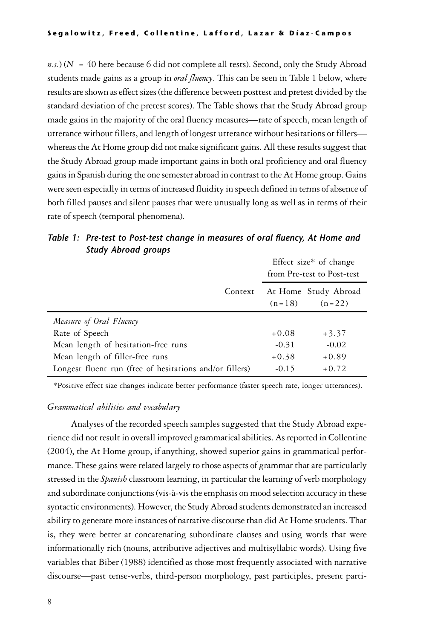$n.s.$ ) ( $N = 40$  here because 6 did not complete all tests). Second, only the Study Abroad students made gains as a group in *oral fluency*. This can be seen in Table 1 below, where results are shown as effect sizes (the difference between posttest and pretest divided by the standard deviation of the pretest scores). The Table shows that the Study Abroad group made gains in the majority of the oral fluency measures—rate of speech, mean length of utterance without fillers, and length of longest utterance without hesitations or fillers whereas the At Home group did not make significant gains. All these results suggest that the Study Abroad group made important gains in both oral proficiency and oral fluency gains in Spanish during the one semester abroad in contrast to the At Home group. Gains were seen especially in terms of increased fluidity in speech defined in terms of absence of both filled pauses and silent pauses that were unusually long as well as in terms of their rate of speech (temporal phenomena).

Table 1: Pre-test to Post-test change in measures of oral fluency, At Home and Study Abroad groups

|                                                         |         | Effect size* of change<br>from Pre-test to Post-test |                                  |  |
|---------------------------------------------------------|---------|------------------------------------------------------|----------------------------------|--|
|                                                         | Context | $(n=18)$                                             | At Home Study Abroad<br>$(n=22)$ |  |
| Measure of Oral Fluency                                 |         |                                                      |                                  |  |
| Rate of Speech                                          |         | $+0.08$                                              | $+3.37$                          |  |
| Mean length of hesitation-free runs                     |         | $-0.31$                                              | $-0.02$                          |  |
| Mean length of filler-free runs                         |         | $+0.38$                                              | $+0.89$                          |  |
| Longest fluent run (free of hesitations and/or fillers) |         | $-0.15$                                              | $+0.72$                          |  |
|                                                         |         |                                                      |                                  |  |

\*Positive effect size changes indicate better performance (faster speech rate, longer utterances).

### *Grammatical abilities and vocabulary*

Analyses of the recorded speech samples suggested that the Study Abroad experience did not result in overall improved grammatical abilities. As reported in Collentine (2004), the At Home group, if anything, showed superior gains in grammatical performance. These gains were related largely to those aspects of grammar that are particularly stressed in the *Spanish* classroom learning, in particular the learning of verb morphology and subordinate conjunctions (vis-à-vis the emphasis on mood selection accuracy in these syntactic environments). However, the Study Abroad students demonstrated an increased ability to generate more instances of narrative discourse than did At Home students. That is, they were better at concatenating subordinate clauses and using words that were informationally rich (nouns, attributive adjectives and multisyllabic words). Using five variables that Biber (1988) identified as those most frequently associated with narrative discourse—past tense-verbs, third-person morphology, past participles, present parti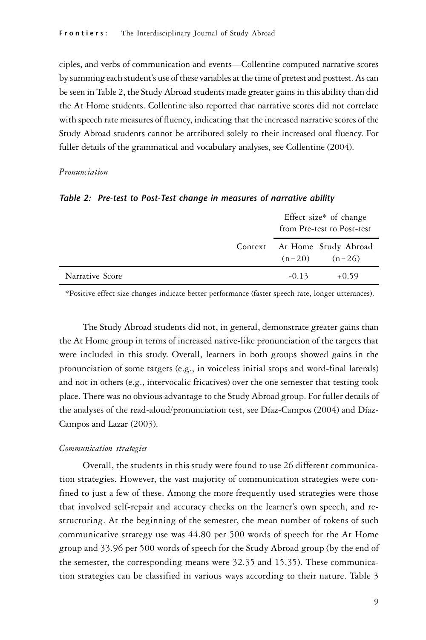ciples, and verbs of communication and events—Collentine computed narrative scores by summing each student's use of these variables at the time of pretest and posttest. As can be seen in Table 2, the Study Abroad students made greater gains in this ability than did the At Home students. Collentine also reported that narrative scores did not correlate with speech rate measures of fluency, indicating that the increased narrative scores of the Study Abroad students cannot be attributed solely to their increased oral fluency. For fuller details of the grammatical and vocabulary analyses, see Collentine (2004).

#### *Pronunciation*

|                 | Effect size* of change<br>from Pre-test to Post-test |                                                   |  |
|-----------------|------------------------------------------------------|---------------------------------------------------|--|
|                 |                                                      | Context At Home Study Abroad<br>$(n=20)$ $(n=26)$ |  |
| Narrative Score | $-0.13$                                              | $+0.59$                                           |  |

#### Table 2: Pre-test to Post-Test change in measures of narrative ability

\*Positive effect size changes indicate better performance (faster speech rate, longer utterances).

The Study Abroad students did not, in general, demonstrate greater gains than the At Home group in terms of increased native-like pronunciation of the targets that were included in this study. Overall, learners in both groups showed gains in the pronunciation of some targets (e.g., in voiceless initial stops and word-final laterals) and not in others (e.g., intervocalic fricatives) over the one semester that testing took place. There was no obvious advantage to the Study Abroad group. For fuller details of the analyses of the read-aloud/pronunciation test, see Díaz-Campos (2004) and Díaz-Campos and Lazar (2003).

#### *Communication strategies*

Overall, the students in this study were found to use 26 different communication strategies. However, the vast majority of communication strategies were confined to just a few of these. Among the more frequently used strategies were those that involved self-repair and accuracy checks on the learner's own speech, and restructuring. At the beginning of the semester, the mean number of tokens of such communicative strategy use was 44.80 per 500 words of speech for the At Home group and 33.96 per 500 words of speech for the Study Abroad group (by the end of the semester, the corresponding means were 32.35 and 15.35). These communication strategies can be classified in various ways according to their nature. Table 3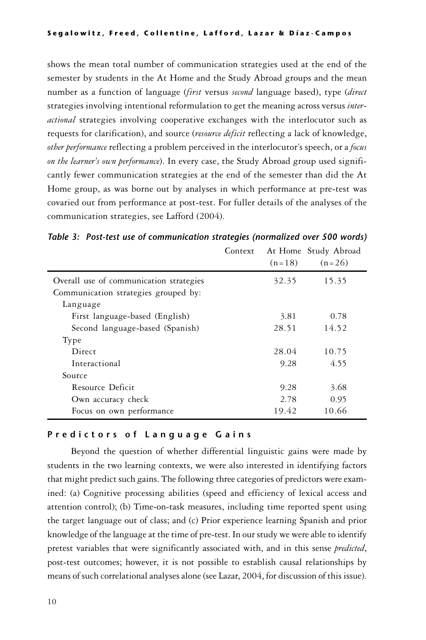shows the mean total number of communication strategies used at the end of the semester by students in the At Home and the Study Abroad groups and the mean number as a function of language (*first* versus *second* language based), type (*direct* strategies involving intentional reformulation to get the meaning across versus *interactional* strategies involving cooperative exchanges with the interlocutor such as requests for clarification), and source (*resource deficit* reflecting a lack of knowledge, *other performance* reflecting a problem perceived in the interlocutor's speech, or a *focus on the learner's own performance*). In every case, the Study Abroad group used significantly fewer communication strategies at the end of the semester than did the At Home group, as was borne out by analyses in which performance at pre-test was covaried out from performance at post-test. For fuller details of the analyses of the communication strategies, see Lafford (2004).

|                                         | Context |          | At Home Study Abroad |
|-----------------------------------------|---------|----------|----------------------|
|                                         |         | $(n=18)$ | $(n=26)$             |
| Overall use of communication strategies |         | 32.35    | 15.35                |
| Communication strategies grouped by:    |         |          |                      |
| Language                                |         |          |                      |
| First language-based (English)          |         | 3.81     | 0.78                 |
| Second language-based (Spanish)         |         | 28.51    | 14.52                |
| Type                                    |         |          |                      |
| Direct                                  |         | 28.04    | 10.75                |
| Interactional                           |         | 9.28     | 4.55                 |
| Source                                  |         |          |                      |
| Resource Deficit                        |         | 9.28     | 3.68                 |
| Own accuracy check                      |         | 2.78     | 0.95                 |
| Focus on own performance                |         | 19.42    | 10.66                |

|  |  |  |  | Table 3: Post-test use of communication strategies (normalized over 500 words) |  |  |  |  |
|--|--|--|--|--------------------------------------------------------------------------------|--|--|--|--|
|--|--|--|--|--------------------------------------------------------------------------------|--|--|--|--|

# Predictors of Language Gains

Beyond the question of whether differential linguistic gains were made by students in the two learning contexts, we were also interested in identifying factors that might predict such gains. The following three categories of predictors were examined: (a) Cognitive processing abilities (speed and efficiency of lexical access and attention control); (b) Time-on-task measures, including time reported spent using the target language out of class; and (c) Prior experience learning Spanish and prior knowledge of the language at the time of pre-test. In our study we were able to identify pretest variables that were significantly associated with, and in this sense *predicted*, post-test outcomes; however, it is not possible to establish causal relationships by means of such correlational analyses alone (see Lazar, 2004, for discussion of this issue).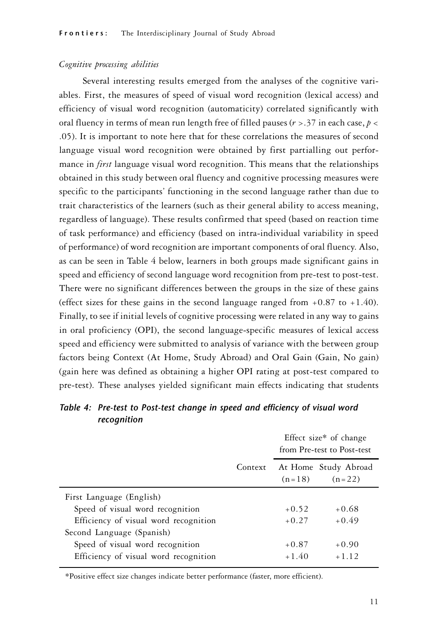## *Cognitive processing abilities*

Several interesting results emerged from the analyses of the cognitive variables. First, the measures of speed of visual word recognition (lexical access) and efficiency of visual word recognition (automaticity) correlated significantly with oral fluency in terms of mean run length free of filled pauses (*r* >.37 in each case, *p* < .05). It is important to note here that for these correlations the measures of second language visual word recognition were obtained by first partialling out performance in *first* language visual word recognition. This means that the relationships obtained in this study between oral fluency and cognitive processing measures were specific to the participants' functioning in the second language rather than due to trait characteristics of the learners (such as their general ability to access meaning, regardless of language). These results confirmed that speed (based on reaction time of task performance) and efficiency (based on intra-individual variability in speed of performance) of word recognition are important components of oral fluency. Also, as can be seen in Table 4 below, learners in both groups made significant gains in speed and efficiency of second language word recognition from pre-test to post-test. There were no significant differences between the groups in the size of these gains (effect sizes for these gains in the second language ranged from  $+0.87$  to  $+1.40$ ). Finally, to see if initial levels of cognitive processing were related in any way to gains in oral proficiency (OPI), the second language-specific measures of lexical access speed and efficiency were submitted to analysis of variance with the between group factors being Context (At Home, Study Abroad) and Oral Gain (Gain, No gain) (gain here was defined as obtaining a higher OPI rating at post-test compared to pre-test). These analyses yielded significant main effects indicating that students

|                                       |         | Effect size* of change<br>from Pre-test to Post-test |                                  |  |
|---------------------------------------|---------|------------------------------------------------------|----------------------------------|--|
|                                       | Context | $(n=18)$                                             | At Home Study Abroad<br>$(n=22)$ |  |
| First Language (English)              |         |                                                      |                                  |  |
| Speed of visual word recognition      |         | $+0.52$                                              | $+0.68$                          |  |
| Efficiency of visual word recognition |         | $+0.27$                                              | $+0.49$                          |  |
| Second Language (Spanish)             |         |                                                      |                                  |  |
| Speed of visual word recognition      |         | $+0.87$                                              | $+0.90$                          |  |
| Efficiency of visual word recognition |         | $+1.40$                                              | $+1.12$                          |  |

Table 4: Pre-test to Post-test change in speed and efficiency of visual word recognition

\*Positive effect size changes indicate better performance (faster, more efficient).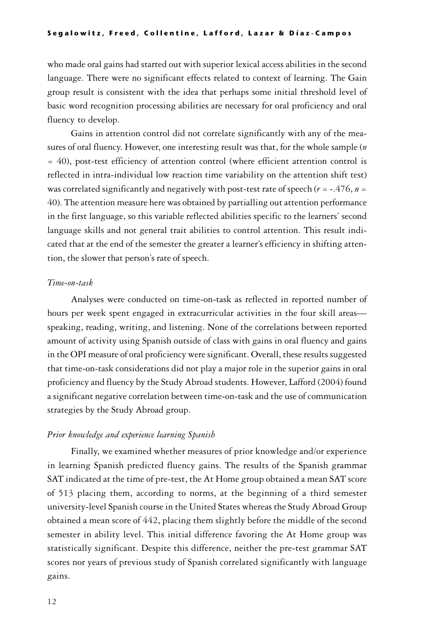#### Segalowitz, Freed, Collentine, Lafford, Lazar & Díaz-Campos

who made oral gains had started out with superior lexical access abilities in the second language. There were no significant effects related to context of learning. The Gain group result is consistent with the idea that perhaps some initial threshold level of basic word recognition processing abilities are necessary for oral proficiency and oral fluency to develop.

Gains in attention control did not correlate significantly with any of the measures of oral fluency. However, one interesting result was that, for the whole sample (*n* = 40), post-test efficiency of attention control (where efficient attention control is reflected in intra-individual low reaction time variability on the attention shift test) was correlated significantly and negatively with post-test rate of speech  $(r = -.476, n =$ 40). The attention measure here was obtained by partialling out attention performance in the first language, so this variable reflected abilities specific to the learners' second language skills and not general trait abilities to control attention. This result indicated that at the end of the semester the greater a learner's efficiency in shifting attention, the slower that person's rate of speech.

## *Time-on-task*

Analyses were conducted on time-on-task as reflected in reported number of hours per week spent engaged in extracurricular activities in the four skill areas speaking, reading, writing, and listening. None of the correlations between reported amount of activity using Spanish outside of class with gains in oral fluency and gains in the OPI measure of oral proficiency were significant. Overall, these results suggested that time-on-task considerations did not play a major role in the superior gains in oral proficiency and fluency by the Study Abroad students. However, Lafford (2004) found a significant negative correlation between time-on-task and the use of communication strategies by the Study Abroad group.

#### *Prior knowledge and experience learning Spanish*

Finally, we examined whether measures of prior knowledge and/or experience in learning Spanish predicted fluency gains. The results of the Spanish grammar SAT indicated at the time of pre-test, the At Home group obtained a mean SAT score of 513 placing them, according to norms, at the beginning of a third semester university-level Spanish course in the United States whereas the Study Abroad Group obtained a mean score of 442, placing them slightly before the middle of the second semester in ability level. This initial difference favoring the At Home group was statistically significant. Despite this difference, neither the pre-test grammar SAT scores nor years of previous study of Spanish correlated significantly with language gains.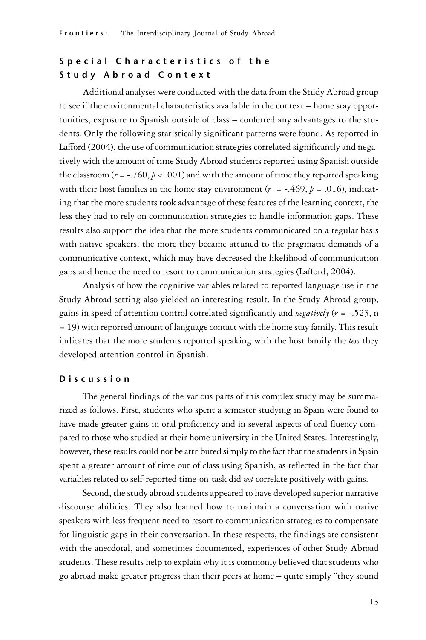# Special Characteristics of the Study Abroad Context

Additional analyses were conducted with the data from the Study Abroad group to see if the environmental characteristics available in the context – home stay opportunities, exposure to Spanish outside of class – conferred any advantages to the students. Only the following statistically significant patterns were found. As reported in Lafford (2004), the use of communication strategies correlated significantly and negatively with the amount of time Study Abroad students reported using Spanish outside the classroom  $(r = -760, p < .001)$  and with the amount of time they reported speaking with their host families in the home stay environment ( $r = -.469$ ,  $p = .016$ ), indicating that the more students took advantage of these features of the learning context, the less they had to rely on communication strategies to handle information gaps. These results also support the idea that the more students communicated on a regular basis with native speakers, the more they became attuned to the pragmatic demands of a communicative context, which may have decreased the likelihood of communication gaps and hence the need to resort to communication strategies (Lafford, 2004).

Analysis of how the cognitive variables related to reported language use in the Study Abroad setting also yielded an interesting result. In the Study Abroad group, gains in speed of attention control correlated significantly and *negatively* (*r* = -.523, n = 19) with reported amount of language contact with the home stay family. This result indicates that the more students reported speaking with the host family the *less* they developed attention control in Spanish.

# D i s c u s s i o n

The general findings of the various parts of this complex study may be summarized as follows. First, students who spent a semester studying in Spain were found to have made greater gains in oral proficiency and in several aspects of oral fluency compared to those who studied at their home university in the United States. Interestingly, however, these results could not be attributed simply to the fact that the students in Spain spent a greater amount of time out of class using Spanish, as reflected in the fact that variables related to self-reported time-on-task did *not* correlate positively with gains.

Second, the study abroad students appeared to have developed superior narrative discourse abilities. They also learned how to maintain a conversation with native speakers with less frequent need to resort to communication strategies to compensate for linguistic gaps in their conversation. In these respects, the findings are consistent with the anecdotal, and sometimes documented, experiences of other Study Abroad students. These results help to explain why it is commonly believed that students who go abroad make greater progress than their peers at home – quite simply "they sound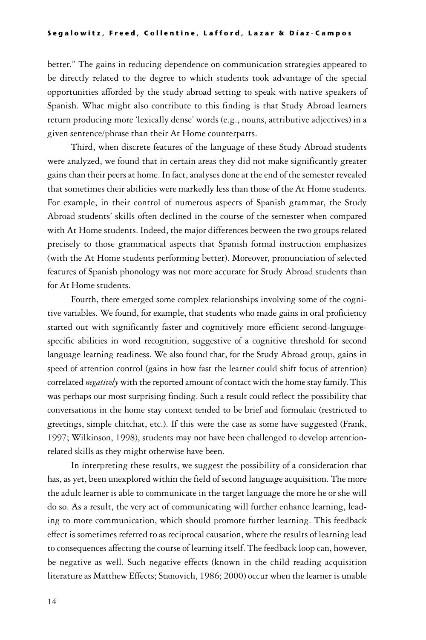better." The gains in reducing dependence on communication strategies appeared to be directly related to the degree to which students took advantage of the special opportunities afforded by the study abroad setting to speak with native speakers of Spanish. What might also contribute to this finding is that Study Abroad learners return producing more 'lexically dense' words (e.g., nouns, attributive adjectives) in a given sentence/phrase than their At Home counterparts.

Third, when discrete features of the language of these Study Abroad students were analyzed, we found that in certain areas they did not make significantly greater gains than their peers at home. In fact, analyses done at the end of the semester revealed that sometimes their abilities were markedly less than those of the At Home students. For example, in their control of numerous aspects of Spanish grammar, the Study Abroad students' skills often declined in the course of the semester when compared with At Home students. Indeed, the major differences between the two groups related precisely to those grammatical aspects that Spanish formal instruction emphasizes (with the At Home students performing better). Moreover, pronunciation of selected features of Spanish phonology was not more accurate for Study Abroad students than for At Home students.

Fourth, there emerged some complex relationships involving some of the cognitive variables. We found, for example, that students who made gains in oral proficiency started out with significantly faster and cognitively more efficient second-languagespecific abilities in word recognition, suggestive of a cognitive threshold for second language learning readiness. We also found that, for the Study Abroad group, gains in speed of attention control (gains in how fast the learner could shift focus of attention) correlated *negatively* with the reported amount of contact with the home stay family. This was perhaps our most surprising finding. Such a result could reflect the possibility that conversations in the home stay context tended to be brief and formulaic (restricted to greetings, simple chitchat, etc.). If this were the case as some have suggested (Frank, 1997; Wilkinson, 1998), students may not have been challenged to develop attentionrelated skills as they might otherwise have been.

In interpreting these results, we suggest the possibility of a consideration that has, as yet, been unexplored within the field of second language acquisition. The more the adult learner is able to communicate in the target language the more he or she will do so. As a result, the very act of communicating will further enhance learning, leading to more communication, which should promote further learning. This feedback effect is sometimes referred to as reciprocal causation, where the results of learning lead to consequences affecting the course of learning itself. The feedback loop can, however, be negative as well. Such negative effects (known in the child reading acquisition literature as Matthew Effects; Stanovich, 1986; 2000) occur when the learner is unable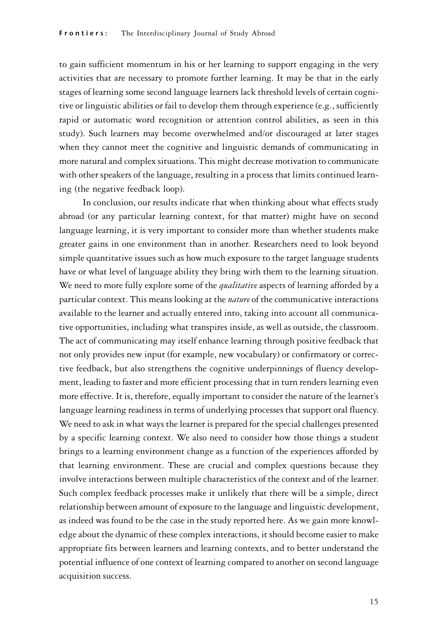to gain sufficient momentum in his or her learning to support engaging in the very activities that are necessary to promote further learning. It may be that in the early stages of learning some second language learners lack threshold levels of certain cognitive or linguistic abilities or fail to develop them through experience (e.g., sufficiently rapid or automatic word recognition or attention control abilities, as seen in this study). Such learners may become overwhelmed and/or discouraged at later stages when they cannot meet the cognitive and linguistic demands of communicating in more natural and complex situations. This might decrease motivation to communicate with other speakers of the language, resulting in a process that limits continued learning (the negative feedback loop).

In conclusion, our results indicate that when thinking about what effects study abroad (or any particular learning context, for that matter) might have on second language learning, it is very important to consider more than whether students make greater gains in one environment than in another. Researchers need to look beyond simple quantitative issues such as how much exposure to the target language students have or what level of language ability they bring with them to the learning situation. We need to more fully explore some of the *qualitative* aspects of learning afforded by a particular context. This means looking at the *nature* of the communicative interactions available to the learner and actually entered into, taking into account all communicative opportunities, including what transpires inside, as well as outside, the classroom. The act of communicating may itself enhance learning through positive feedback that not only provides new input (for example, new vocabulary) or confirmatory or corrective feedback, but also strengthens the cognitive underpinnings of fluency development, leading to faster and more efficient processing that in turn renders learning even more effective. It is, therefore, equally important to consider the nature of the learner's language learning readiness in terms of underlying processes that support oral fluency. We need to ask in what ways the learner is prepared for the special challenges presented by a specific learning context. We also need to consider how those things a student brings to a learning environment change as a function of the experiences afforded by that learning environment. These are crucial and complex questions because they involve interactions between multiple characteristics of the context and of the learner. Such complex feedback processes make it unlikely that there will be a simple, direct relationship between amount of exposure to the language and linguistic development, as indeed was found to be the case in the study reported here. As we gain more knowledge about the dynamic of these complex interactions, it should become easier to make appropriate fits between learners and learning contexts, and to better understand the potential influence of one context of learning compared to another on second language acquisition success.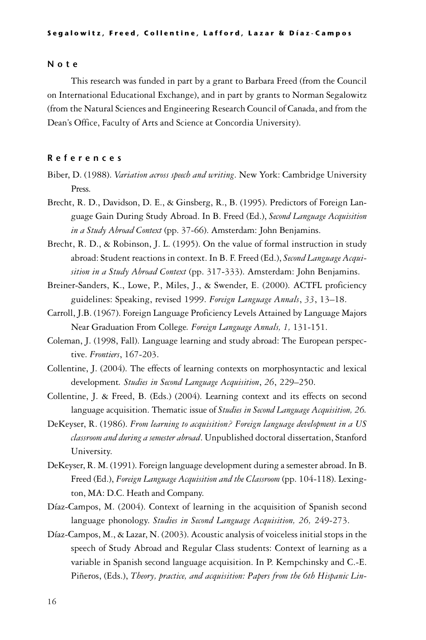#### N o t e

This research was funded in part by a grant to Barbara Freed (from the Council on International Educational Exchange), and in part by grants to Norman Segalowitz (from the Natural Sciences and Engineering Research Council of Canada, and from the Dean's Office, Faculty of Arts and Science at Concordia University).

#### R e f e r e n c e s

- Biber, D. (1988). *Variation across speech and writing*. New York: Cambridge University Press.
- Brecht, R. D., Davidson, D. E., & Ginsberg, R., B. (1995). Predictors of Foreign Language Gain During Study Abroad. In B. Freed (Ed.), *Second Language Acquisition in a Study Abroad Context* (pp. 37-66). Amsterdam: John Benjamins.
- Brecht, R. D., & Robinson, J. L. (1995). On the value of formal instruction in study abroad: Student reactions in context. In B. F. Freed (Ed.), *Second Language Acquisition in a Study Abroad Context* (pp. 317-333). Amsterdam: John Benjamins.
- Breiner-Sanders, K., Lowe, P., Miles, J., & Swender, E. (2000). ACTFL proficiency guidelines: Speaking, revised 1999. *Foreign Language Annals*, *33*, 13–18.
- Carroll, J.B. (1967). Foreign Language Proficiency Levels Attained by Language Majors Near Graduation From College*. Foreign Language Annals, 1,* 131-151.
- Coleman, J. (1998, Fall). Language learning and study abroad: The European perspective. *Frontiers*, 167-203.
- Collentine, J. (2004). The effects of learning contexts on morphosyntactic and lexical development*. Studies in Second Language Acquisition*, *26*, 229–250.
- Collentine, J. & Freed, B. (Eds.) (2004). Learning context and its effects on second language acquisition. Thematic issue of *Studies in Second Language Acquisition, 26.*
- DeKeyser, R. (1986). *From learning to acquisition? Foreign language development in a US classroom and during a semester abroad*. Unpublished doctoral dissertation, Stanford University.
- DeKeyser, R. M. (1991). Foreign language development during a semester abroad. In B. Freed (Ed.), *Foreign Language Acquisition and the Classroom* (pp. 104-118). Lexington, MA: D.C. Heath and Company.
- Díaz-Campos, M. (2004). Context of learning in the acquisition of Spanish second language phonology. *Studies in Second Language Acquisition, 26,* 249-273.
- Díaz-Campos, M., & Lazar, N. (2003). Acoustic analysis of voiceless initial stops in the speech of Study Abroad and Regular Class students: Context of learning as a variable in Spanish second language acquisition. In P. Kempchinsky and C.-E. Piñeros, (Eds.), *Theory, practice, and acquisition: Papers from the 6th Hispanic Lin-*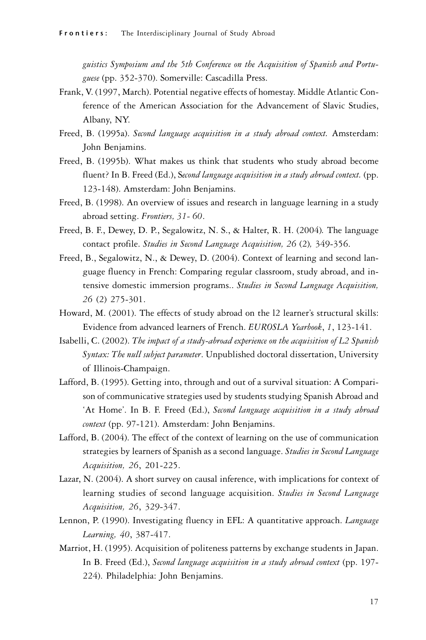*guistics Symposium and the 5th Conference on the Acquisition of Spanish and Portuguese* (pp. 352-370). Somerville: Cascadilla Press.

- Frank, V. (1997, March). Potential negative effects of homestay. Middle Atlantic Conference of the American Association for the Advancement of Slavic Studies, Albany, NY.
- Freed, B. (1995a). *Second language acquisition in a study abroad context.* Amsterdam: John Benjamins.
- Freed, B. (1995b). What makes us think that students who study abroad become fluent? In B. Freed (Ed.), S*econd language acquisition in a study abroad context.* (pp. 123-148). Amsterdam: John Benjamins.
- Freed, B. (1998). An overview of issues and research in language learning in a study abroad setting. *Frontiers, 31- 60*.
- Freed, B. F., Dewey, D. P., Segalowitz, N. S., & Halter, R. H. (2004)*.* The language contact profile. *Studies in Second Language Acquisition, 26* (2)*,* 349-356.
- Freed, B., Segalowitz, N., & Dewey, D. (2004). Context of learning and second language fluency in French: Comparing regular classroom, study abroad, and intensive domestic immersion programs.. *Studies in Second Language Acquisition, 26* (2) 275-301.
- Howard, M. (2001). The effects of study abroad on the l2 learner's structural skills: Evidence from advanced learners of French. *EUROSLA Yearbook*, *1*, 123-141.
- Isabelli, C. (2002). *The impact of a study-abroad experience on the acquisition of L2 Spanish Syntax: The null subject parameter*. Unpublished doctoral dissertation, University of Illinois-Champaign.
- Lafford, B. (1995). Getting into, through and out of a survival situation: A Comparison of communicative strategies used by students studying Spanish Abroad and 'At Home'. In B. F. Freed (Ed.), *Second language acquisition in a study abroad context* (pp. 97-121). Amsterdam: John Benjamins.
- Lafford, B. (2004). The effect of the context of learning on the use of communication strategies by learners of Spanish as a second language. *Studies in Second Language Acquisition, 26*, 201-225.
- Lazar, N. (2004). A short survey on causal inference, with implications for context of learning studies of second language acquisition. *Studies in Second Language Acquisition, 26*, 329-347.
- Lennon, P. (1990). Investigating fluency in EFL: A quantitative approach. *Language Learning, 40*, 387-417.
- Marriot, H. (1995). Acquisition of politeness patterns by exchange students in Japan. In B. Freed (Ed.), *Second language acquisition in a study abroad context* (pp. 197- 224). Philadelphia: John Benjamins.